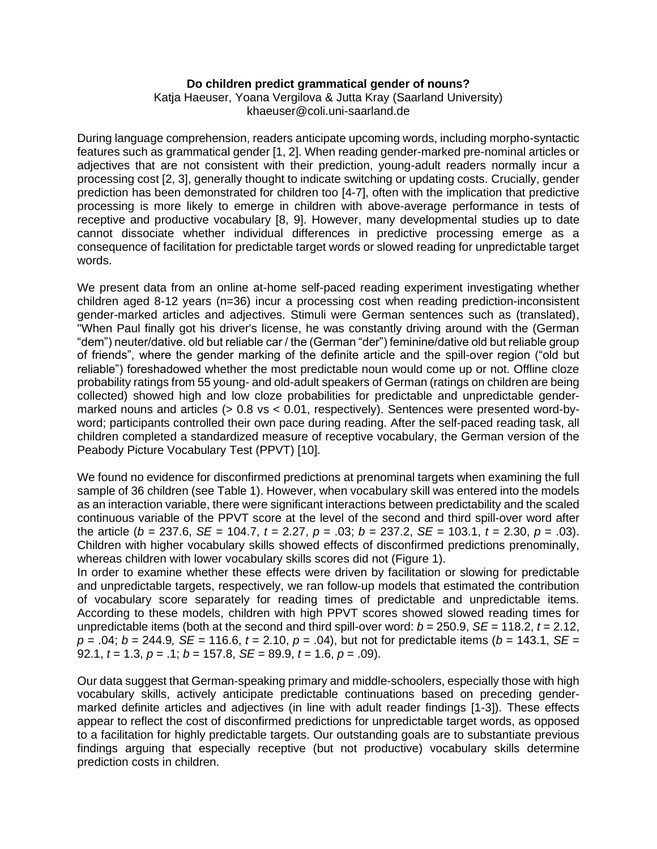## **Do children predict grammatical gender of nouns?**

Katja Haeuser, Yoana Vergilova & Jutta Kray (Saarland University) khaeuser@coli.uni-saarland.de

During language comprehension, readers anticipate upcoming words, including morpho-syntactic features such as grammatical gender [1, 2]. When reading gender-marked pre-nominal articles or adjectives that are not consistent with their prediction, young-adult readers normally incur a processing cost [2, 3], generally thought to indicate switching or updating costs. Crucially, gender prediction has been demonstrated for children too [4-7], often with the implication that predictive processing is more likely to emerge in children with above-average performance in tests of receptive and productive vocabulary [8, 9]. However, many developmental studies up to date cannot dissociate whether individual differences in predictive processing emerge as a consequence of facilitation for predictable target words or slowed reading for unpredictable target words.

We present data from an online at-home self-paced reading experiment investigating whether children aged 8-12 years (n=36) incur a processing cost when reading prediction-inconsistent gender-marked articles and adjectives. Stimuli were German sentences such as (translated), "When Paul finally got his driver's license, he was constantly driving around with the (German "dem") neuter/dative. old but reliable car / the (German "der") feminine/dative old but reliable group of friends", where the gender marking of the definite article and the spill-over region ("old but reliable") foreshadowed whether the most predictable noun would come up or not. Offline cloze probability ratings from 55 young- and old-adult speakers of German (ratings on children are being collected) showed high and low cloze probabilities for predictable and unpredictable gendermarked nouns and articles (> 0.8 vs < 0.01, respectively). Sentences were presented word-byword; participants controlled their own pace during reading. After the self-paced reading task, all children completed a standardized measure of receptive vocabulary, the German version of the Peabody Picture Vocabulary Test (PPVT) [10].

We found no evidence for disconfirmed predictions at prenominal targets when examining the full sample of 36 children (see Table 1). However, when vocabulary skill was entered into the models as an interaction variable, there were significant interactions between predictability and the scaled continuous variable of the PPVT score at the level of the second and third spill-over word after the article ( $b = 237.6$ ,  $SE = 104.7$ ,  $t = 2.27$ ,  $p = .03$ ;  $b = 237.2$ ,  $SE = 103.1$ ,  $t = 2.30$ ,  $p = .03$ ). Children with higher vocabulary skills showed effects of disconfirmed predictions prenominally, whereas children with lower vocabulary skills scores did not (Figure 1).

In order to examine whether these effects were driven by facilitation or slowing for predictable and unpredictable targets, respectively, we ran follow-up models that estimated the contribution of vocabulary score separately for reading times of predictable and unpredictable items. According to these models, children with high PPVT scores showed slowed reading times for unpredictable items (both at the second and third spill-over word:  $b = 250.9$ ,  $SE = 118.2$ ,  $t = 2.12$ , *p* = .04; *b* = 244.9*, SE* = 116.6, *t* = 2.10, *p* = .04), but not for predictable items (*b* = 143.1, *SE* = 92.1, *t* = 1.3, *p* = .1; *b* = 157.8, *SE* = 89.9, *t* = 1.6, *p* = .09).

Our data suggest that German-speaking primary and middle-schoolers, especially those with high vocabulary skills, actively anticipate predictable continuations based on preceding gendermarked definite articles and adjectives (in line with adult reader findings [1-3]). These effects appear to reflect the cost of disconfirmed predictions for unpredictable target words, as opposed to a facilitation for highly predictable targets. Our outstanding goals are to substantiate previous findings arguing that especially receptive (but not productive) vocabulary skills determine prediction costs in children.